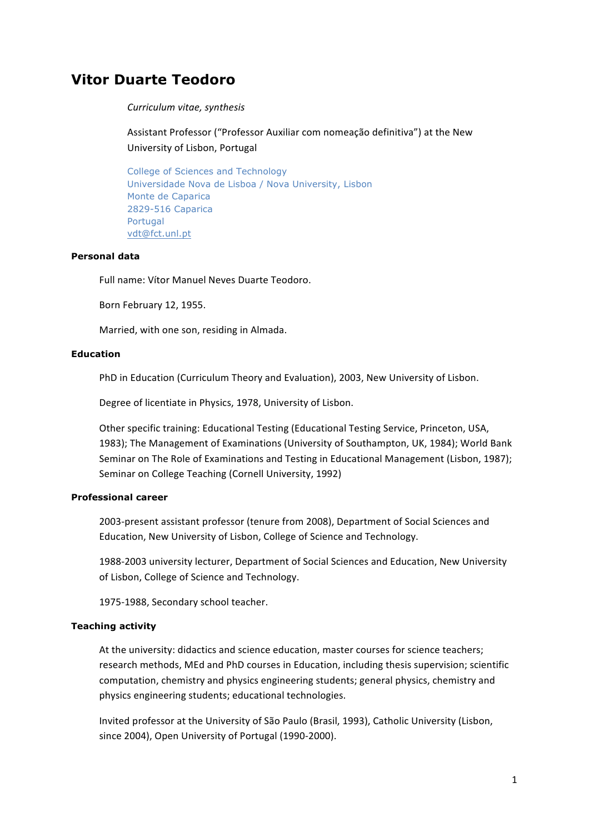# **Vitor Duarte Teodoro**

#### *Curriculum(vitae,(synthesis*

Assistant Professor ("Professor Auxiliar com nomeação definitiva") at the New University of Lisbon, Portugal

College of Sciences and Technology Universidade Nova de Lisboa / Nova University, Lisbon Monte de Caparica 2829-516 Caparica Portugal vdt@fct.unl.pt

# **Personal data**

Full name: Vítor Manuel Neves Duarte Teodoro.

Born February 12, 1955.

Married, with one son, residing in Almada.

# **Education**

PhD in Education (Curriculum Theory and Evaluation), 2003, New University of Lisbon.

Degree of licentiate in Physics, 1978, University of Lisbon.

Other specific training: Educational Testing (Educational Testing Service, Princeton, USA, 1983); The Management of Examinations (University of Southampton, UK, 1984); World Bank Seminar on The Role of Examinations and Testing in Educational Management (Lisbon, 1987); Seminar on College Teaching (Cornell University, 1992)

# **Professional career**

2003-present assistant professor (tenure from 2008), Department of Social Sciences and Education, New University of Lisbon, College of Science and Technology.

1988-2003 university lecturer, Department of Social Sciences and Education, New University of Lisbon, College of Science and Technology.

1975-1988, Secondary school teacher.

#### **Teaching activity**

At the university: didactics and science education, master courses for science teachers; research methods, MEd and PhD courses in Education, including thesis supervision; scientific computation, chemistry and physics engineering students; general physics, chemistry and physics engineering students; educational technologies.

Invited professor at the University of São Paulo (Brasil, 1993), Catholic University (Lisbon, since 2004), Open University of Portugal (1990-2000).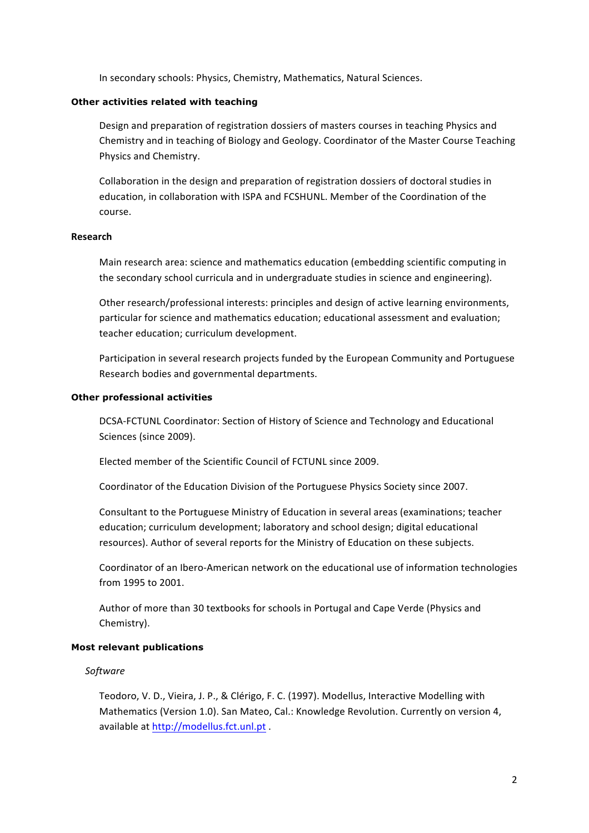In secondary schools: Physics, Chemistry, Mathematics, Natural Sciences.

#### **Other activities related with teaching**

Design and preparation of registration dossiers of masters courses in teaching Physics and Chemistry and in teaching of Biology and Geology. Coordinator of the Master Course Teaching Physics and Chemistry.

Collaboration in the design and preparation of registration dossiers of doctoral studies in education, in collaboration with ISPA and FCSHUNL. Member of the Coordination of the course.

# **Research**

Main research area: science and mathematics education (embedding scientific computing in the secondary school curricula and in undergraduate studies in science and engineering).

Other research/professional interests: principles and design of active learning environments, particular for science and mathematics education; educational assessment and evaluation; teacher education; curriculum development.

Participation in several research projects funded by the European Community and Portuguese Research bodies and governmental departments.

#### **Other professional activities**

DCSA-FCTUNL Coordinator: Section of History of Science and Technology and Educational Sciences (since 2009).

Elected member of the Scientific Council of FCTUNL since 2009.

Coordinator of the Education Division of the Portuguese Physics Society since 2007.

Consultant to the Portuguese Ministry of Education in several areas (examinations; teacher education; curriculum development; laboratory and school design; digital educational resources). Author of several reports for the Ministry of Education on these subjects.

Coordinator of an Ibero-American network on the educational use of information technologies from 1995 to 2001.

Author of more than 30 textbooks for schools in Portugal and Cape Verde (Physics and Chemistry).

# **Most relevant publications**

*Software*

Teodoro, V. D., Vieira, J. P., & Clérigo, F. C. (1997). Modellus, Interactive Modelling with Mathematics (Version 1.0). San Mateo, Cal.: Knowledge Revolution. Currently on version 4, available at http://modellus.fct.unl.pt .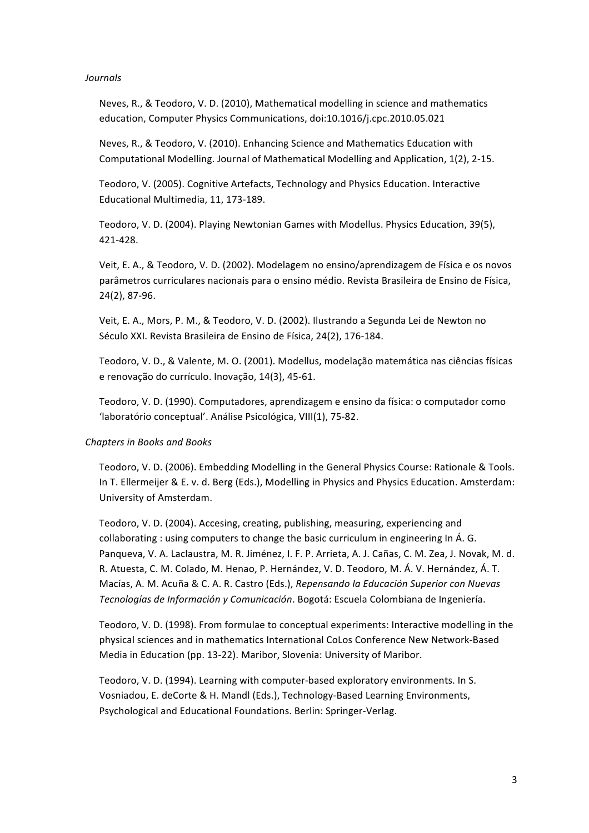#### *Journals*

Neves, R., & Teodoro, V. D. (2010), Mathematical modelling in science and mathematics education, Computer Physics Communications, doi:10.1016/j.cpc.2010.05.021

Neves, R., & Teodoro, V. (2010). Enhancing Science and Mathematics Education with Computational Modelling. Journal of Mathematical Modelling and Application, 1(2), 2-15.

Teodoro, V. (2005). Cognitive Artefacts, Technology and Physics Education. Interactive Educational Multimedia, 11, 173-189.

Teodoro, V. D. (2004). Playing Newtonian Games with Modellus. Physics Education, 39(5). 421\_428.!

Veit, E. A., & Teodoro, V. D. (2002). Modelagem no ensino/aprendizagem de Física e os novos parâmetros curriculares nacionais para o ensino médio. Revista Brasileira de Ensino de Física, 24(2), 87-96.

Veit, E. A., Mors, P. M., & Teodoro, V. D. (2002). Ilustrando a Segunda Lei de Newton no Século XXI. Revista Brasileira de Ensino de Física, 24(2), 176-184.

Teodoro, V. D., & Valente, M. O. (2001). Modellus, modelação matemática nas ciências físicas e renovação do currículo. Inovação, 14(3), 45-61.

Teodoro, V. D. (1990). Computadores, aprendizagem e ensino da física: o computador como 'laboratório conceptual'. Análise Psicológica, VIII(1), 75-82.

# **Chapters in Books and Books**

Teodoro, V. D. (2006). Embedding Modelling in the General Physics Course: Rationale & Tools. In T. Ellermeijer & E. v. d. Berg (Eds.), Modelling in Physics and Physics Education. Amsterdam: University of Amsterdam.

Teodoro, V. D. (2004). Accesing, creating, publishing, measuring, experiencing and collaborating : using computers to change the basic curriculum in engineering In Á. G. Panqueva, V. A. Laclaustra, M. R. Jiménez, I. F. P. Arrieta, A. J. Cañas, C. M. Zea, J. Novak, M. d. R. Atuesta, C. M. Colado, M. Henao, P. Hernández, V. D. Teodoro, M. Á. V. Hernández, Á. T. Macías, A. M. Acuña & C. A. R. Castro (Eds.), *Repensando la Educación Superior con Nuevas Tecnologías de Información y Comunicación*. Bogotá: Escuela Colombiana de Ingeniería.

Teodoro, V. D. (1998). From formulae to conceptual experiments: Interactive modelling in the physical sciences and in mathematics International CoLos Conference New Network-Based Media in Education (pp. 13-22). Maribor, Slovenia: University of Maribor.

Teodoro, V. D. (1994). Learning with computer-based exploratory environments. In S. Vosniadou, E. deCorte & H. Mandl (Eds.), Technology-Based Learning Environments, Psychological and Educational Foundations. Berlin: Springer-Verlag.